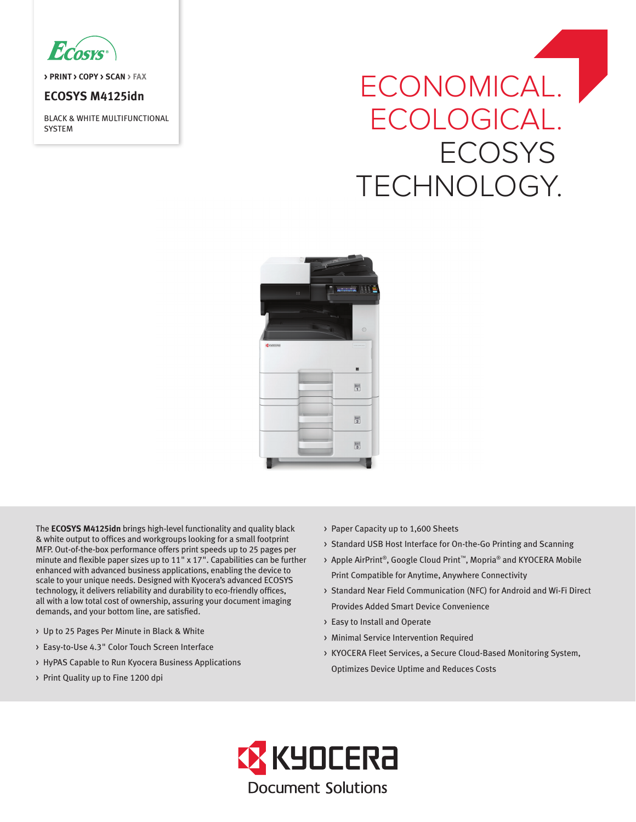

**> PRINT > COPY > SCAN > FAX**

# **ECOSYS M4125idn**

BLACK & WHITE MULTIFUNCTIONAL SYSTEM

# ECONOMICAL. ECOLOGICAL. **ECOSYS** TECHNOLOGY.



The **ECOSYS M4125idn** brings high-level functionality and quality black & white output to offices and workgroups looking for a small footprint MFP. Out-of-the-box performance offers print speeds up to 25 pages per minute and flexible paper sizes up to 11" x 17". Capabilities can be further enhanced with advanced business applications, enabling the device to scale to your unique needs. Designed with Kyocera's advanced ECOSYS technology, it delivers reliability and durability to eco-friendly offices, all with a low total cost of ownership, assuring your document imaging demands, and your bottom line, are satisfied.

- > Up to 25 Pages Per Minute in Black & White
- > Easy-to-Use 4.3" Color Touch Screen Interface
- > HyPAS Capable to Run Kyocera Business Applications
- > Print Quality up to Fine 1200 dpi
- > Paper Capacity up to 1,600 Sheets
- > Standard USB Host Interface for On-the-Go Printing and Scanning
- > Apple AirPrint®, Google Cloud Print™, Mopria® and KYOCERA Mobile Print Compatible for Anytime, Anywhere Connectivity
- > Standard Near Field Communication (NFC) for Android and Wi-Fi Direct Provides Added Smart Device Convenience
- > Easy to Install and Operate
- > Minimal Service Intervention Required
- > KYOCERA Fleet Services, a Secure Cloud-Based Monitoring System, Optimizes Device Uptime and Reduces Costs